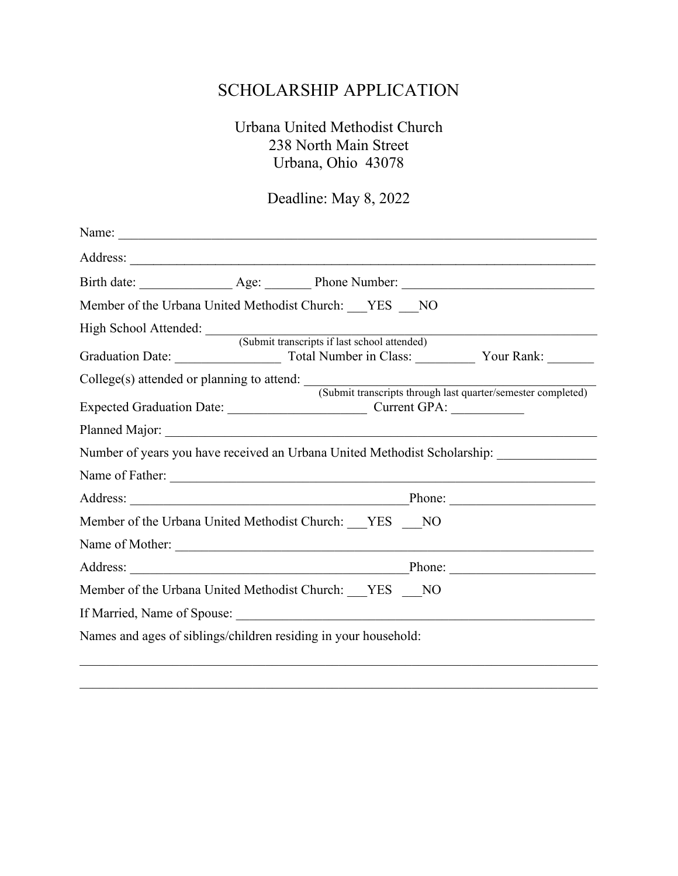# SCHOLARSHIP APPLICATION

### Urbana United Methodist Church 238 North Main Street Urbana, Ohio 43078

## Deadline: May 8, 2022

| Member of the Urbana United Methodist Church: YES NO                                                    |  |  |  |
|---------------------------------------------------------------------------------------------------------|--|--|--|
| High School Attended: (Submit transcripts if last school attended)                                      |  |  |  |
| College(s) attended or planning to attend: (Submit transcripts through last quarter/semester completed) |  |  |  |
|                                                                                                         |  |  |  |
|                                                                                                         |  |  |  |
| Number of years you have received an Urbana United Methodist Scholarship:                               |  |  |  |
| Name of Father:                                                                                         |  |  |  |
|                                                                                                         |  |  |  |
| Member of the Urbana United Methodist Church: YES NO                                                    |  |  |  |
| Name of Mother:                                                                                         |  |  |  |
|                                                                                                         |  |  |  |
| Member of the Urbana United Methodist Church: YES NO                                                    |  |  |  |
|                                                                                                         |  |  |  |
| Names and ages of siblings/children residing in your household:                                         |  |  |  |

\_\_\_\_\_\_\_\_\_\_\_\_\_\_\_\_\_\_\_\_\_\_\_\_\_\_\_\_\_\_\_\_\_\_\_\_\_\_\_\_\_\_\_\_\_\_\_\_\_\_\_\_\_\_\_\_\_\_\_\_\_\_\_\_\_\_\_\_\_\_\_\_\_\_\_\_\_\_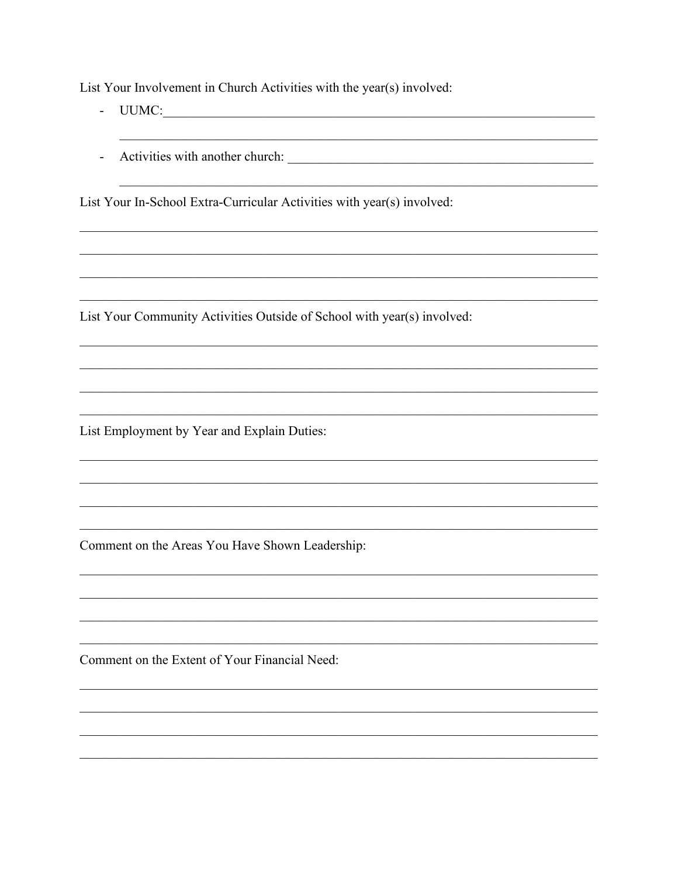List Your Involvement in Church Activities with the year(s) involved:

- $\omega_{\rm{max}}$
- 

List Your In-School Extra-Curricular Activities with year(s) involved:

List Your Community Activities Outside of School with year(s) involved:

List Employment by Year and Explain Duties:

Comment on the Areas You Have Shown Leadership:

Comment on the Extent of Your Financial Need: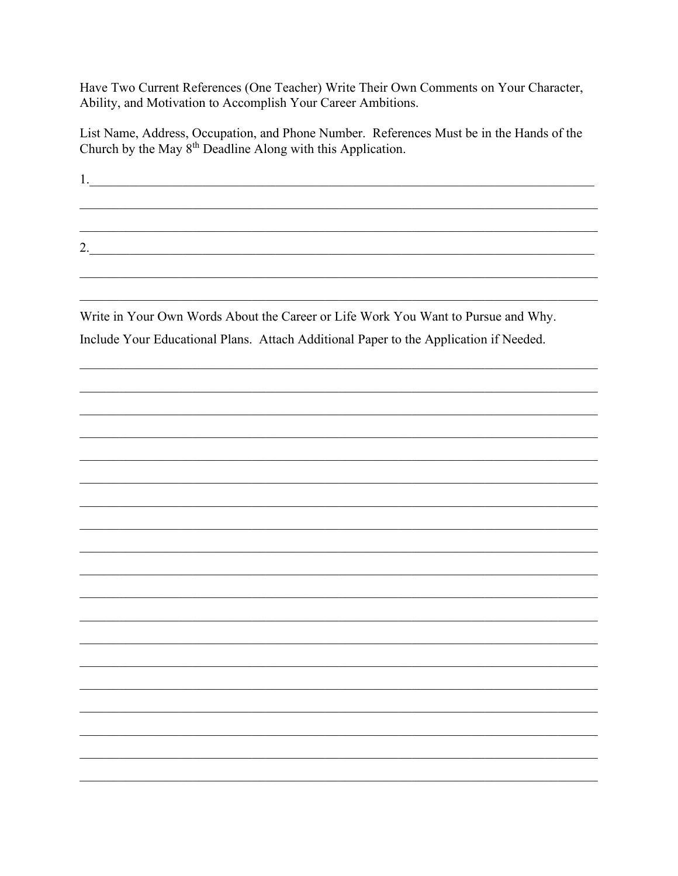Have Two Current References (One Teacher) Write Their Own Comments on Your Character, Ability, and Motivation to Accomplish Your Career Ambitions.

List Name, Address, Occupation, and Phone Number. References Must be in the Hands of the Church by the May 8<sup>th</sup> Deadline Along with this Application.

2.

Write in Your Own Words About the Career or Life Work You Want to Pursue and Why. Include Your Educational Plans. Attach Additional Paper to the Application if Needed.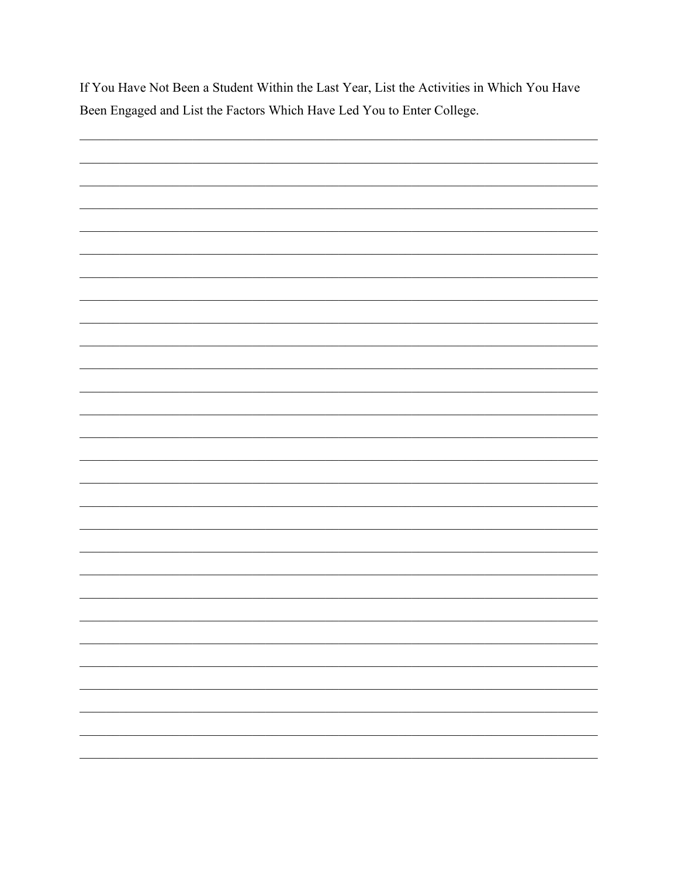If You Have Not Been a Student Within the Last Year, List the Activities in Which You Have Been Engaged and List the Factors Which Have Led You to Enter College.